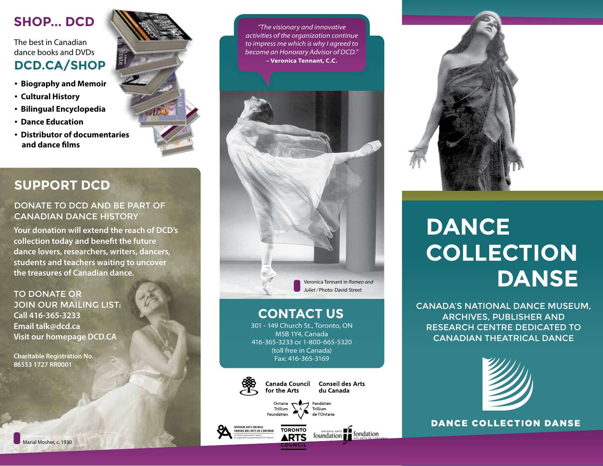# **SHOP... DCD**

# The best in Canadian dance books and DVDs **DCD.CA/SHOP**

- **Biography and Memoir**
- **Cultural History**
- **Bilingual Encyclopedia**
- **Dance Education**
- **Distributor of documentaries and dance films**

# **SUPPORT DCD**

## DONATE TO DCD AND BE PART OF CANADIAN DANCE HISTORY

**Your donation will extend the reach of DCD's collection today and benefit the future dance lovers, researchers, writers, dancers, students and teachers waiting to uncover the treasures of Canadian dance.**

## TO DONATE OR JOIN OUR MAILING LIST: **Call 416-365-3233 Email talk@dcd.ca Visit our homepage DCD.CA**

**Charitable Registration No. 86553 1727 RR0001**



*"The visionary and innovative activities of the organization continue to impress me which is why I agreed to become an Honorary Advisor of DCD."* **– Veronica Tennant, C.C.**



# **CONTACT US**

301 - 149 Church St., Toronto, ON M5B 1Y4, Canada 416-365-3233 or 1-800-665-5320 (toll free in Canada) Fax: 416-365-3169



Canada Council **Conseil des Arts** for the Arts du Canada

foundation

fondation







# **DANCE COLLECTION DANSE**

CANADA'S NATIONAL DANCE MUSEUM, ARCHIVES, PUBLISHER AND RESEARCH CENTRE DEDICATED TO CANADIAN THEATRICAL DANCE



# **DANCE COLLECTION DANSE**